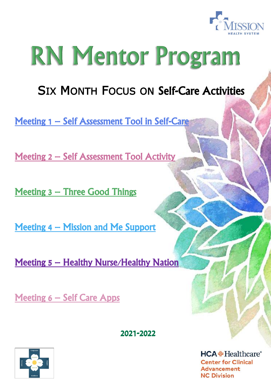

# RN Mentor Program

# SIX MONTH FOCUS ON Self-Care Activities

Meeting 1 – Self Assessment Tool in Self-Care

Meeting 2 – Self Assessment Tool Activity

Meeting 3 – Three Good Things

Meeting 4 – Mission and Me Support

Meeting 5 – Healthy Nurse/Healthy Nation

Meeting 6 – Self Care Apps

2021-2022

 $HCA + Healthere$ <sup>\*</sup> **Center for Clinical Advancement NC Division** 

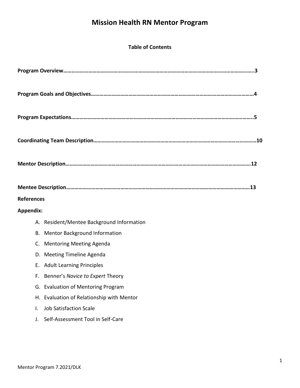# **Mission Health RN Mentor Program**

#### **Table of Contents**

| <b>References</b>                          |
|--------------------------------------------|
| <b>Appendix:</b>                           |
| A. Resident/Mentee Background Information  |
| <b>Mentor Background Information</b><br>В. |
| <b>Mentoring Meeting Agenda</b><br>C.      |
| <b>Meeting Timeline Agenda</b><br>D.       |
| E. Adult Learning Principles               |
| Benner's Novice to Expert Theory<br>F.     |
| G. Evaluation of Mentoring Program         |
| H. Evaluation of Relationship with Mentor  |
| <b>Job Satisfaction Scale</b><br>Ι.        |
| Self-Assessment Tool in Self-Care<br>J.    |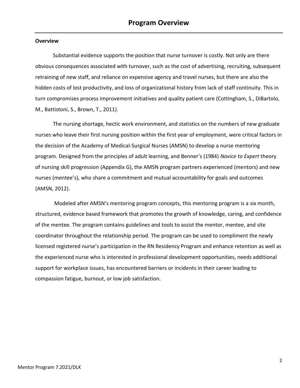#### **Overview**

Substantial evidence supports the position that nurse turnover is costly. Not only are there obvious consequences associated with turnover, such as the cost of advertising, recruiting, subsequent retraining of new staff, and reliance on expensive agency and travel nurses, but there are also the hidden costs of lost productivity, and loss of organizational history from lack of staff continuity. This in turn compromises process improvement initiatives and quality patient care (Cottingham, S., DiBartolo, M., Battistoni, S., Brown, T., 2011).

The nursing shortage, hectic work environment, and statistics on the numbers of new graduate nurses who leave their first nursing position within the first year of employment, were critical factors in the decision of the Academy of Medical-Surgical Nurses (AMSN) to develop a nurse mentoring program. Designed from the principles of adult learning, and Benner's (1984) *Novice to Expert* theory of nursing skill progression (Appendix G), the AMSN program partners experienced (mentors) and new nurses (mentee's), who share a commitment and mutual accountability for goals and outcomes (AMSN, 2012).

Modeled after AMSN's mentoring program concepts, this mentoring program is a six month, structured, evidence based framework that promotes the growth of knowledge, caring, and confidence of the mentee. The program contains guidelines and tools to assist the mentor, mentee, and site coordinator throughout the relationship period. The program can be used to compliment the newly licensed registered nurse's participation in the RN Residency Program and enhance retention as well as the experienced nurse who is interested in professional development opportunities, needs additional support for workplace issues, has encountered barriers or incidents in their career leading to compassion fatigue, burnout, or low job satisfaction.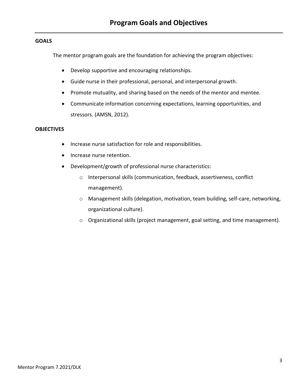#### **GOALS**

The mentor program goals are the foundation for achieving the program objectives:

- Develop supportive and encouraging relationships.
- Guide nurse in their professional, personal, and interpersonal growth.
- Promote mutuality, and sharing based on the needs of the mentor and mentee.
- Communicate information concerning expectations, learning opportunities, and stressors. (AMSN, 2012).

#### **OBJECTIVES**

- Increase nurse satisfaction for role and responsibilities.
- Increase nurse retention.
- Development/growth of professional nurse characteristics:
	- o Interpersonal skills (communication, feedback, assertiveness, conflict management).
	- o Management skills (delegation, motivation, team building, self-care, networking, organizational culture).
	- $\circ$  Organizational skills (project management, goal setting, and time management).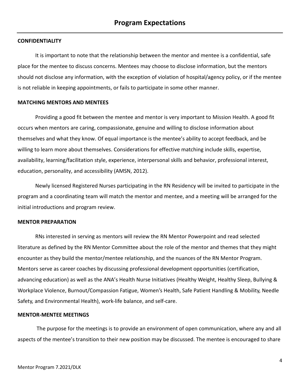#### **CONFIDENTIALITY**

It is important to note that the relationship between the mentor and mentee is a confidential, safe place for the mentee to discuss concerns. Mentees may choose to disclose information, but the mentors should not disclose any information, with the exception of violation of hospital/agency policy, or if the mentee is not reliable in keeping appointments, or fails to participate in some other manner.

#### **MATCHING MENTORS AND MENTEES**

Providing a good fit between the mentee and mentor is very important to Mission Health. A good fit occurs when mentors are caring, compassionate, genuine and willing to disclose information about themselves and what they know. Of equal importance is the mentee's ability to accept feedback, and be willing to learn more about themselves. Considerations for effective matching include skills, expertise, availability, learning/facilitation style, experience, interpersonal skills and behavior, professional interest, education, personality, and accessibility (AMSN, 2012).

Newly licensed Registered Nurses participating in the RN Residency will be invited to participate in the program and a coordinating team will match the mentor and mentee, and a meeting will be arranged for the initial introductions and program review.

#### **MENTOR PREPARATION**

RNs interested in serving as mentors will review the RN Mentor Powerpoint and read selected literature as defined by the RN Mentor Committee about the role of the mentor and themes that they might encounter as they build the mentor/mentee relationship, and the nuances of the RN Mentor Program. Mentors serve as career coaches by discussing professional development opportunities (certification, advancing education) as well as the ANA's Health Nurse Initiatives (Healthy Weight, Healthy Sleep, Bullying & Workplace Violence, Burnout/Compassion Fatigue, Women's Health, Safe Patient Handling & Mobility, Needle Safety, and Environmental Health), work-life balance, and self-care.

#### **MENTOR-MENTEE MEETINGS**

The purpose for the meetings is to provide an environment of open communication, where any and all aspects of the mentee's transition to their new position may be discussed. The mentee is encouraged to share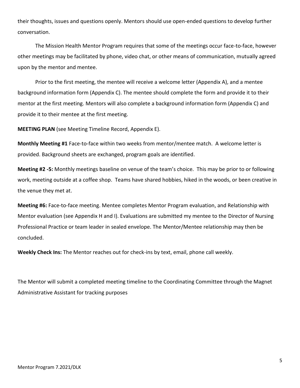their thoughts, issues and questions openly. Mentors should use open-ended questions to develop further conversation.

The Mission Health Mentor Program requires that some of the meetings occur face-to-face, however other meetings may be facilitated by phone, video chat, or other means of communication, mutually agreed upon by the mentor and mentee.

Prior to the first meeting, the mentee will receive a welcome letter (Appendix A), and a mentee background information form (Appendix C). The mentee should complete the form and provide it to their mentor at the first meeting. Mentors will also complete a background information form (Appendix C) and provide it to their mentee at the first meeting.

**MEETING PLAN** (see Meeting Timeline Record, Appendix E).

**Monthly Meeting #1** Face-to-face within two weeks from mentor/mentee match. A welcome letter is provided. Background sheets are exchanged, program goals are identified.

**Meeting #2 -5:** Monthly meetings baseline on venue of the team's choice. This may be prior to or following work, meeting outside at a coffee shop. Teams have shared hobbies, hiked in the woods, or been creative in the venue they met at.

**Meeting #6:** Face-to-face meeting. Mentee completes Mentor Program evaluation, and Relationship with Mentor evaluation (see Appendix H and I). Evaluations are submitted my mentee to the Director of Nursing Professional Practice or team leader in sealed envelope. The Mentor/Mentee relationship may then be concluded.

**Weekly Check Ins:** The Mentor reaches out for check-ins by text, email, phone call weekly.

The Mentor will submit a completed meeting timeline to the Coordinating Committee through the Magnet Administrative Assistant for tracking purposes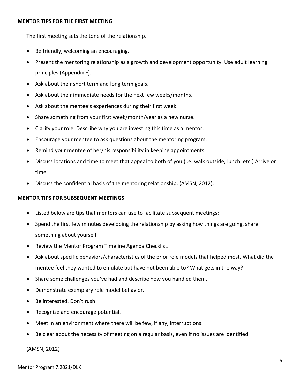#### **MENTOR TIPS FOR THE FIRST MEETING**

The first meeting sets the tone of the relationship.

- Be friendly, welcoming an encouraging.
- Present the mentoring relationship as a growth and development opportunity. Use adult learning principles (Appendix F).
- Ask about their short term and long term goals.
- Ask about their immediate needs for the next few weeks/months.
- Ask about the mentee's experiences during their first week.
- Share something from your first week/month/year as a new nurse.
- Clarify your role. Describe why you are investing this time as a mentor.
- Encourage your mentee to ask questions about the mentoring program.
- Remind your mentee of her/his responsibility in keeping appointments.
- Discuss locations and time to meet that appeal to both of you (i.e. walk outside, lunch, etc.) Arrive on time.
- Discuss the confidential basis of the mentoring relationship. (AMSN, 2012).

#### **MENTOR TIPS FOR SUBSEQUENT MEETINGS**

- Listed below are tips that mentors can use to facilitate subsequent meetings:
- Spend the first few minutes developing the relationship by asking how things are going, share something about yourself.
- Review the Mentor Program Timeline Agenda Checklist.
- Ask about specific behaviors/characteristics of the prior role models that helped most. What did the mentee feel they wanted to emulate but have not been able to? What gets in the way?
- Share some challenges you've had and describe how you handled them.
- Demonstrate exemplary role model behavior.
- Be interested. Don't rush
- Recognize and encourage potential.
- Meet in an environment where there will be few, if any, interruptions.
- Be clear about the necessity of meeting on a regular basis, even if no issues are identified.

(AMSN, 2012)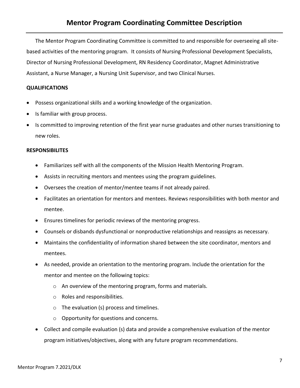The Mentor Program Coordinating Committee is committed to and responsible for overseeing all sitebased activities of the mentoring program. It consists of Nursing Professional Development Specialists, Director of Nursing Professional Development, RN Residency Coordinator, Magnet Administrative Assistant, a Nurse Manager, a Nursing Unit Supervisor, and two Clinical Nurses.

#### **QUALIFICATIONS**

- Possess organizational skills and a working knowledge of the organization.
- Is familiar with group process.
- Is committed to improving retention of the first year nurse graduates and other nurses transitioning to new roles.

#### **RESPONSIBILITES**

- Familiarizes self with all the components of the Mission Health Mentoring Program.
- Assists in recruiting mentors and mentees using the program guidelines.
- Oversees the creation of mentor/mentee teams if not already paired.
- Facilitates an orientation for mentors and mentees. Reviews responsibilities with both mentor and mentee.
- Ensures timelines for periodic reviews of the mentoring progress.
- Counsels or disbands dysfunctional or nonproductive relationships and reassigns as necessary.
- Maintains the confidentiality of information shared between the site coordinator, mentors and mentees.
- As needed, provide an orientation to the mentoring program. Include the orientation for the mentor and mentee on the following topics:
	- o An overview of the mentoring program, forms and materials.
	- o Roles and responsibilities.
	- o The evaluation (s) process and timelines.
	- o Opportunity for questions and concerns.
- Collect and compile evaluation (s) data and provide a comprehensive evaluation of the mentor program initiatives/objectives, along with any future program recommendations.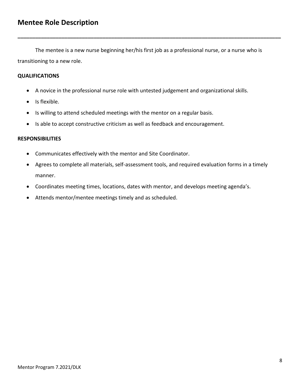The mentee is a new nurse beginning her/his first job as a professional nurse, or a nurse who is transitioning to a new role.

**\_\_\_\_\_\_\_\_\_\_\_\_\_\_\_\_\_\_\_\_\_\_\_\_\_\_\_\_\_\_\_\_\_\_\_\_\_\_\_\_\_\_\_\_\_\_\_\_\_\_\_\_\_\_\_\_\_\_\_\_\_\_\_\_\_\_\_\_\_\_\_\_\_\_\_\_\_\_\_\_\_\_\_\_\_\_\_\_\_\_**

#### **QUALIFICATIONS**

- A novice in the professional nurse role with untested judgement and organizational skills.
- Is flexible.
- Is willing to attend scheduled meetings with the mentor on a regular basis.
- Is able to accept constructive criticism as well as feedback and encouragement.

#### **RESPONSIBILITIES**

- Communicates effectively with the mentor and Site Coordinator.
- Agrees to complete all materials, self-assessment tools, and required evaluation forms in a timely manner.
- Coordinates meeting times, locations, dates with mentor, and develops meeting agenda's.
- Attends mentor/mentee meetings timely and as scheduled.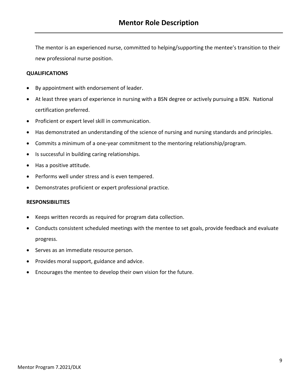The mentor is an experienced nurse, committed to helping/supporting the mentee's transition to their new professional nurse position.

#### **QUALIFICATIONS**

- By appointment with endorsement of leader.
- At least three years of experience in nursing with a BSN degree or actively pursuing a BSN. National certification preferred.
- Proficient or expert level skill in communication.
- Has demonstrated an understanding of the science of nursing and nursing standards and principles.
- Commits a minimum of a one-year commitment to the mentoring relationship/program.
- Is successful in building caring relationships.
- Has a positive attitude.
- Performs well under stress and is even tempered.
- Demonstrates proficient or expert professional practice.

#### **RESPONSIBILITIES**

- Keeps written records as required for program data collection.
- Conducts consistent scheduled meetings with the mentee to set goals, provide feedback and evaluate progress.
- Serves as an immediate resource person.
- Provides moral support, guidance and advice.
- Encourages the mentee to develop their own vision for the future.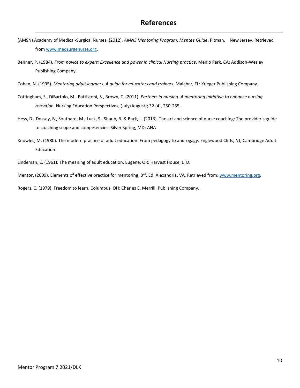- (AMSN) Academy of Medical-Surgical Nurses, (2012). *AMNS Mentoring Program: Mentee Guide*. Pitman, New Jersey. Retrieved from [www.medsurgenurse.org.](http://www.medsurgenurse.org/)
- Benner, P. (1984). *From novice to expert: Excellence and power in clinical Nursing practice*. Menlo Park, CA: Addison-Wesley Publishing Company.
- Cohen, N. (1995). *Mentoring adult learners: A guide for educators and trainers.* Malabar, FL: Krieger Publishing Company.
- Cottingham, S., DiBartolo, M., Battistoni, S., Brown, T. (2011). *Partners in nursing: A mentoring initiative to enhance nursing retention.* Nursing Education Perspectives, (July/August); 32 (4), 250-255.
- Hess, D., Dossey, B., Southard, M., Luck, S., Shaub, B. & Bark, L. (2013). The art and science of nurse coaching: The provider's guide to coaching scope and competencies. Silver Spring, MD: ANA
- Knowles, M. (1980). The modern practice of adult education: From pedagogy to androgagy. Englewood Cliffs, NJ; Cambridge Adult Education.
- Lindeman, E. (1961). The meaning of adult education. Eugene, OR: Harvest House, LTD.
- Mentor, (2009). Elements of effective practice for mentoring, 3<sup>rd</sup>. Ed. Alexandria, VA. Retrieved from: [www.mentoring.org.](http://www.mentoring.org/)

Rogers, C. (1979). Freedom to learn. Columbus, OH: Charles E. Merrill, Publishing Company.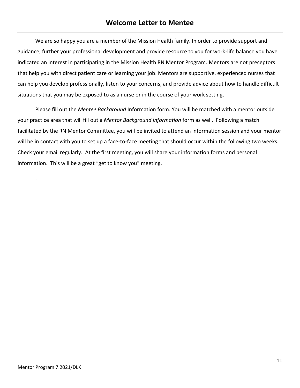# **Welcome Letter to Mentee**

We are so happy you are a member of the Mission Health family. In order to provide support and guidance, further your professional development and provide resource to you for work-life balance you have indicated an interest in participating in the Mission Health RN Mentor Program. Mentors are not preceptors that help you with direct patient care or learning your job. Mentors are supportive, experienced nurses that can help you develop professionally, listen to your concerns, and provide advice about how to handle difficult situations that you may be exposed to as a nurse or in the course of your work setting.

Please fill out the *Mentee Background* Information form. You will be matched with a mentor outside your practice area that will fill out a *Mentor Background Information* form as well. Following a match facilitated by the RN Mentor Committee, you will be invited to attend an information session and your mentor will be in contact with you to set up a face-to-face meeting that should occur within the following two weeks. Check your email regularly. At the first meeting, you will share your information forms and personal information. This will be a great "get to know you" meeting.

.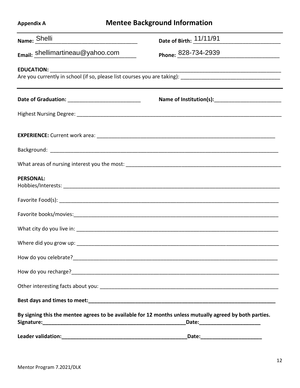| <b>Mentee Background Information</b><br><b>Appendix A</b> |  |                                                                                                         |  |  |  |  |
|-----------------------------------------------------------|--|---------------------------------------------------------------------------------------------------------|--|--|--|--|
| Name: Shelli                                              |  | Date of Birth: 11/11/91                                                                                 |  |  |  |  |
| Email: Shellimartineau@yahoo.com                          |  | Phone: 828-734-2939                                                                                     |  |  |  |  |
|                                                           |  |                                                                                                         |  |  |  |  |
|                                                           |  |                                                                                                         |  |  |  |  |
|                                                           |  |                                                                                                         |  |  |  |  |
|                                                           |  |                                                                                                         |  |  |  |  |
|                                                           |  |                                                                                                         |  |  |  |  |
|                                                           |  |                                                                                                         |  |  |  |  |
|                                                           |  |                                                                                                         |  |  |  |  |
| <b>PERSONAL:</b>                                          |  |                                                                                                         |  |  |  |  |
|                                                           |  |                                                                                                         |  |  |  |  |
|                                                           |  |                                                                                                         |  |  |  |  |
|                                                           |  |                                                                                                         |  |  |  |  |
|                                                           |  |                                                                                                         |  |  |  |  |
|                                                           |  |                                                                                                         |  |  |  |  |
|                                                           |  |                                                                                                         |  |  |  |  |
|                                                           |  |                                                                                                         |  |  |  |  |
|                                                           |  |                                                                                                         |  |  |  |  |
|                                                           |  | By signing this the mentee agrees to be available for 12 months unless mutually agreed by both parties. |  |  |  |  |
|                                                           |  |                                                                                                         |  |  |  |  |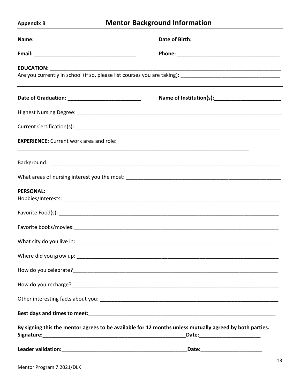# **Appendix B**

# **Mentor Background Information**

| <b>EXPERIENCE:</b> Current work area and role: |                                                                                                                                                                                                                                        |  |  |  |  |  |
|------------------------------------------------|----------------------------------------------------------------------------------------------------------------------------------------------------------------------------------------------------------------------------------------|--|--|--|--|--|
|                                                |                                                                                                                                                                                                                                        |  |  |  |  |  |
|                                                |                                                                                                                                                                                                                                        |  |  |  |  |  |
| <b>PERSONAL:</b>                               |                                                                                                                                                                                                                                        |  |  |  |  |  |
|                                                |                                                                                                                                                                                                                                        |  |  |  |  |  |
|                                                |                                                                                                                                                                                                                                        |  |  |  |  |  |
|                                                |                                                                                                                                                                                                                                        |  |  |  |  |  |
|                                                |                                                                                                                                                                                                                                        |  |  |  |  |  |
|                                                |                                                                                                                                                                                                                                        |  |  |  |  |  |
|                                                | How do you recharge?<br><u> Letter and the contract of the contract of the contract of the contract of the contract of the contract of the contract of the contract of the contract of the contract of the contract of the contrac</u> |  |  |  |  |  |
|                                                |                                                                                                                                                                                                                                        |  |  |  |  |  |
|                                                |                                                                                                                                                                                                                                        |  |  |  |  |  |
|                                                | By signing this the mentor agrees to be available for 12 months unless mutually agreed by both parties.                                                                                                                                |  |  |  |  |  |
|                                                | _Date:_____________________________                                                                                                                                                                                                    |  |  |  |  |  |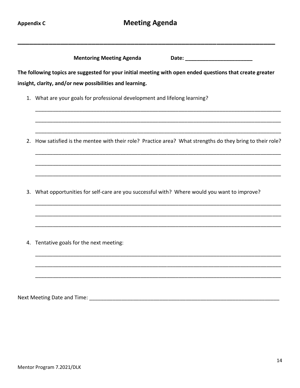|    | <b>Mentoring Meeting Agenda</b><br>Date: ____________________________                                     |  |  |  |  |  |  |  |  |
|----|-----------------------------------------------------------------------------------------------------------|--|--|--|--|--|--|--|--|
|    | The following topics are suggested for your initial meeting with open ended questions that create greater |  |  |  |  |  |  |  |  |
|    | insight, clarity, and/or new possibilities and learning.                                                  |  |  |  |  |  |  |  |  |
|    | 1. What are your goals for professional development and lifelong learning?                                |  |  |  |  |  |  |  |  |
| 2. | How satisfied is the mentee with their role? Practice area? What strengths do they bring to their role?   |  |  |  |  |  |  |  |  |
| 3. | What opportunities for self-care are you successful with? Where would you want to improve?                |  |  |  |  |  |  |  |  |
|    | 4. Tentative goals for the next meeting:                                                                  |  |  |  |  |  |  |  |  |
|    |                                                                                                           |  |  |  |  |  |  |  |  |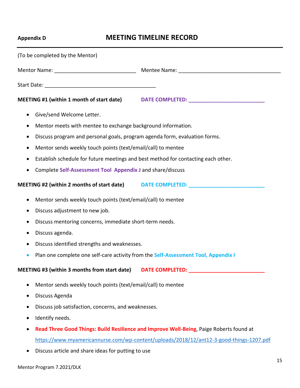# **Appendix D MEETING TIMELINE RECORD**

| (To be completed by the Mentor)                                                                 |                                                                                         |  |  |  |  |  |  |
|-------------------------------------------------------------------------------------------------|-----------------------------------------------------------------------------------------|--|--|--|--|--|--|
|                                                                                                 |                                                                                         |  |  |  |  |  |  |
|                                                                                                 |                                                                                         |  |  |  |  |  |  |
|                                                                                                 | MEETING #1 (within 1 month of start date) DATE COMPLETED: ______________________        |  |  |  |  |  |  |
| Give/send Welcome Letter.<br>$\bullet$                                                          |                                                                                         |  |  |  |  |  |  |
| Mentor meets with mentee to exchange background information.<br>$\bullet$                       |                                                                                         |  |  |  |  |  |  |
| Discuss program and personal goals, program agenda form, evaluation forms.<br>٠                 |                                                                                         |  |  |  |  |  |  |
| Mentor sends weekly touch points (text/email/call) to mentee<br>$\bullet$                       |                                                                                         |  |  |  |  |  |  |
| Establish schedule for future meetings and best method for contacting each other.<br>$\bullet$  |                                                                                         |  |  |  |  |  |  |
| Complete Self-Assessment Tool Appendix J and share/discuss<br>٠                                 |                                                                                         |  |  |  |  |  |  |
|                                                                                                 | MEETING #2 (within 2 months of start date) DATE COMPLETED: _____________________        |  |  |  |  |  |  |
| Mentor sends weekly touch points (text/email/call) to mentee<br>٠                               |                                                                                         |  |  |  |  |  |  |
| Discuss adjustment to new job.<br>٠                                                             |                                                                                         |  |  |  |  |  |  |
| Discuss mentoring concerns, immediate short-term needs.<br>٠                                    |                                                                                         |  |  |  |  |  |  |
| Discuss agenda.                                                                                 |                                                                                         |  |  |  |  |  |  |
| Discuss identified strengths and weaknesses.<br>٠                                               |                                                                                         |  |  |  |  |  |  |
| Plan one complete one self-care activity from the Self-Assessment Tool, Appendix I<br>$\bullet$ |                                                                                         |  |  |  |  |  |  |
| MEETING #3 (within 3 months from start date)                                                    | DATE COMPLETED:                                                                         |  |  |  |  |  |  |
| Mentor sends weekly touch points (text/email/call) to mentee<br>$\bullet$                       |                                                                                         |  |  |  |  |  |  |
| Discuss Agenda<br>$\bullet$                                                                     |                                                                                         |  |  |  |  |  |  |
| Discuss job satisfaction, concerns, and weaknesses.<br>٠                                        |                                                                                         |  |  |  |  |  |  |
| Identify needs.                                                                                 |                                                                                         |  |  |  |  |  |  |
|                                                                                                 | Read Three Good Things: Build Resilience and Improve Well-Being, Paige Roberts found at |  |  |  |  |  |  |
|                                                                                                 | https://www.myamericannurse.com/wp-content/uploads/2018/12/ant12-3-good-things-1207.pdf |  |  |  |  |  |  |

Discuss article and share ideas for putting to use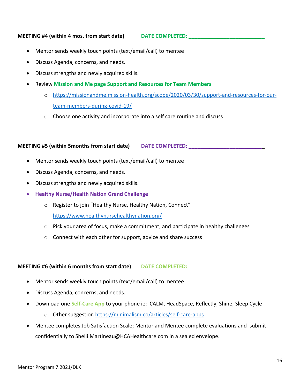#### **MEETING #4 (within 4 mos. from start date) DATE COMPLETED: \_\_\_\_\_\_\_\_\_\_\_\_\_\_\_\_\_\_\_\_\_\_\_\_\_\_**

- Mentor sends weekly touch points (text/email/call) to mentee
- Discuss Agenda, concerns, and needs.
- Discuss strengths and newly acquired skills.
- Review **Mission and Me page Support and Resources for Team Members**
	- o [https://missionandme.mission-health.org/scope/2020/03/30/support-and-resources-for-our](https://missionandme.mission-health.org/scope/2020/03/30/support-and-resources-for-our-team-members-during-covid-19/)[team-members-during-covid-19/](https://missionandme.mission-health.org/scope/2020/03/30/support-and-resources-for-our-team-members-during-covid-19/)
	- o Choose one activity and incorporate into a self care routine and discuss

#### **MEETING #5 (within 5months from start date) DATE COMPLETED: \_\_\_\_\_\_\_\_\_\_\_\_\_\_\_\_\_\_\_\_\_\_\_\_\_**\_

- Mentor sends weekly touch points (text/email/call) to mentee
- Discuss Agenda, concerns, and needs.
- Discuss strengths and newly acquired skills.
- **Healthy Nurse/Health Nation Grand Challenge**
	- o Register to join "Healthy Nurse, Healthy Nation, Connect" <https://www.healthynursehealthynation.org/>
	- $\circ$  Pick your area of focus, make a commitment, and participate in healthy challenges
	- o Connect with each other for support, advice and share success

**MEETING #6 (within 6 months from start date) DATE COMPLETED: \_\_\_\_\_\_\_\_\_\_\_\_\_\_\_\_\_\_\_\_\_\_\_\_\_\_**

- Mentor sends weekly touch points (text/email/call) to mentee
- Discuss Agenda, concerns, and needs.
- Download one **Self-Care App** to your phone ie: CALM, HeadSpace, Reflectly, Shine, Sleep Cycle
	- o Other suggestion<https://minimalism.co/articles/self-care-apps>
- Mentee completes Job Satisfaction Scale; Mentor and Mentee complete evaluations and submit confidentially to Shelli.Martineau@HCAHealthcare.com in a sealed envelope.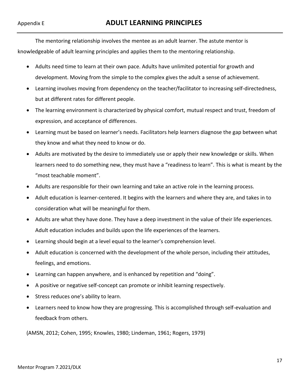The mentoring relationship involves the mentee as an adult learner. The astute mentor is knowledgeable of adult learning principles and applies them to the mentoring relationship.

- Adults need time to learn at their own pace. Adults have unlimited potential for growth and development. Moving from the simple to the complex gives the adult a sense of achievement.
- Learning involves moving from dependency on the teacher/facilitator to increasing self-directedness, but at different rates for different people.
- The learning environment is characterized by physical comfort, mutual respect and trust, freedom of expression, and acceptance of differences.
- Learning must be based on learner's needs. Facilitators help learners diagnose the gap between what they know and what they need to know or do.
- Adults are motivated by the desire to immediately use or apply their new knowledge or skills. When learners need to do something new, they must have a "readiness to learn". This is what is meant by the "most teachable moment".
- Adults are responsible for their own learning and take an active role in the learning process.
- Adult education is learner-centered. It begins with the learners and where they are, and takes in to consideration what will be meaningful for them.
- Adults are what they have done. They have a deep investment in the value of their life experiences. Adult education includes and builds upon the life experiences of the learners.
- Learning should begin at a level equal to the learner's comprehension level.
- Adult education is concerned with the development of the whole person, including their attitudes, feelings, and emotions.
- Learning can happen anywhere, and is enhanced by repetition and "doing".
- A positive or negative self-concept can promote or inhibit learning respectively.
- Stress reduces one's ability to learn.
- Learners need to know how they are progressing. This is accomplished through self-evaluation and feedback from others.

(AMSN, 2012; Cohen, 1995; Knowles, 1980; Lindeman, 1961; Rogers, 1979)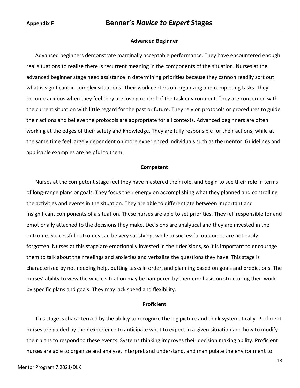#### **Advanced Beginner**

Advanced beginners demonstrate marginally acceptable performance. They have encountered enough real situations to realize there is recurrent meaning in the components of the situation. Nurses at the advanced beginner stage need assistance in determining priorities because they cannon readily sort out what is significant in complex situations. Their work centers on organizing and completing tasks. They become anxious when they feel they are losing control of the task environment. They are concerned with the current situation with little regard for the past or future. They rely on protocols or procedures to guide their actions and believe the protocols are appropriate for all contexts. Advanced beginners are often working at the edges of their safety and knowledge. They are fully responsible for their actions, while at the same time feel largely dependent on more experienced individuals such as the mentor. Guidelines and applicable examples are helpful to them.

#### **Competent**

Nurses at the competent stage feel they have mastered their role, and begin to see their role in terms of long-range plans or goals. They focus their energy on accomplishing what they planned and controlling the activities and events in the situation. They are able to differentiate between important and insignificant components of a situation. These nurses are able to set priorities. They fell responsible for and emotionally attached to the decisions they make. Decisions are analytical and they are invested in the outcome. Successful outcomes can be very satisfying, while unsuccessful outcomes are not easily forgotten. Nurses at this stage are emotionally invested in their decisions, so it is important to encourage them to talk about their feelings and anxieties and verbalize the questions they have. This stage is characterized by not needing help, putting tasks in order, and planning based on goals and predictions. The nurses' ability to view the whole situation may be hampered by their emphasis on structuring their work by specific plans and goals. They may lack speed and flexibility.

#### **Proficient**

This stage is characterized by the ability to recognize the big picture and think systematically. Proficient nurses are guided by their experience to anticipate what to expect in a given situation and how to modify their plans to respond to these events. Systems thinking improves their decision making ability. Proficient nurses are able to organize and analyze, interpret and understand, and manipulate the environment to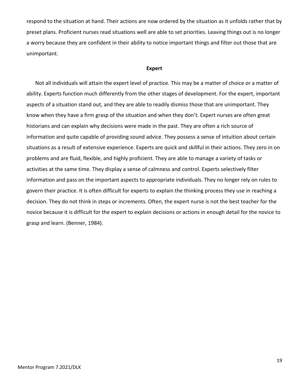respond to the situation at hand. Their actions are now ordered by the situation as it unfolds rather that by preset plans. Proficient nurses read situations well are able to set priorities. Leaving things out is no longer a worry because they are confident in their ability to notice important things and filter out those that are unimportant.

#### **Expert**

Not all individuals will attain the expert level of practice. This may be a matter of choice or a matter of ability. Experts function much differently from the other stages of development. For the expert, important aspects of a situation stand out, and they are able to readily dismiss those that are unimportant. They know when they have a firm grasp of the situation and when they don't. Expert nurses are often great historians and can explain why decisions were made in the past. They are often a rich source of information and quite capable of providing sound advice. They possess a sense of intuition about certain situations as a result of extensive experience. Experts are quick and skillful in their actions. They zero in on problems and are fluid, flexible, and highly proficient. They are able to manage a variety of tasks or activities at the same time. They display a sense of calmness and control. Experts selectively filter information and pass on the important aspects to appropriate individuals. They no longer rely on rules to govern their practice. It is often difficult for experts to explain the thinking process they use in reaching a decision. They do not think in steps or increments. Often, the expert nurse is not the best teacher for the novice because it is difficult for the expert to explain decisions or actions in enough detail for the novice to grasp and learn. (Benner, 1984).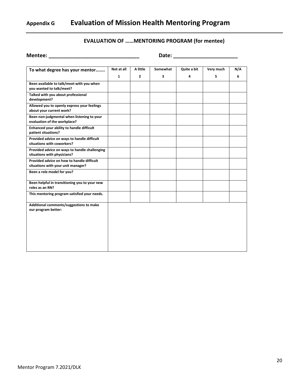# **Appendix G Evaluation of Mission Health Mentoring Program**

#### **EVALUATION OF ……MENTORING PROGRAM (for mentee)**

| <b>Mentee:</b>                                                                   | Date:                      |                          |               |                  |                |          |  |  |  |
|----------------------------------------------------------------------------------|----------------------------|--------------------------|---------------|------------------|----------------|----------|--|--|--|
| To what degree has your mentor                                                   | Not at all<br>$\mathbf{1}$ | A little<br>$\mathbf{2}$ | Somewhat<br>3 | Quite a bit<br>4 | Very much<br>5 | N/A<br>6 |  |  |  |
| Been available to talk/meet with you when<br>you wanted to talk/meet?            |                            |                          |               |                  |                |          |  |  |  |
| Talked with you about professional<br>development?                               |                            |                          |               |                  |                |          |  |  |  |
| Allowed you to openly express your feelings<br>about your current work?          |                            |                          |               |                  |                |          |  |  |  |
| Been non-judgmental when listening to your<br>evaluation of the workplace?       |                            |                          |               |                  |                |          |  |  |  |
| Enhanced your ability to handle difficult<br>patient situations?                 |                            |                          |               |                  |                |          |  |  |  |
| Provided advice on ways to handle difficult<br>situations with coworkers?        |                            |                          |               |                  |                |          |  |  |  |
| Provided advice on ways to handle challenging<br>situations with physicians?     |                            |                          |               |                  |                |          |  |  |  |
| Provided advice on how to handle difficult<br>situations with your unit manager? |                            |                          |               |                  |                |          |  |  |  |
| Been a role model for you?                                                       |                            |                          |               |                  |                |          |  |  |  |
| Been helpful in transitioning you to your new<br>roles as an RN?                 |                            |                          |               |                  |                |          |  |  |  |
| This mentoring program satisfied your needs.                                     |                            |                          |               |                  |                |          |  |  |  |
| Additional comments/suggestions to make<br>our program better:                   |                            |                          |               |                  |                |          |  |  |  |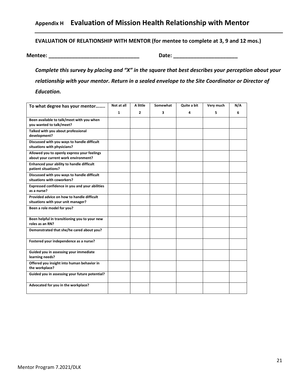# **Appendix H Evaluation of Mission Health Relationship with Mentor**

**EVALUATION OF RELATIONSHIP WITH MENTOR (for mentee to complete at 3, 9 and 12 mos.)**

**Mentee: \_\_\_\_\_\_\_\_\_\_\_\_\_\_\_\_\_\_\_\_\_\_\_\_\_\_\_\_\_\_\_ Date: \_\_\_\_\_\_\_\_\_\_\_\_\_\_\_\_\_\_\_\_\_\_**

*Complete this survey by placing and "X" in the square that best describes your perception about your relationship with your mentor. Return in a sealed envelope to the Site Coordinator or Director of Education.*

| To what degree has your mentor                                                      | Not at all   | A little       | Somewhat | Quite a bit | Very much | N/A |
|-------------------------------------------------------------------------------------|--------------|----------------|----------|-------------|-----------|-----|
|                                                                                     | $\mathbf{1}$ | $\overline{2}$ | 3        | 4           | 5         | 6   |
| Been available to talk/meet with you when<br>vou wanted to talk/meet?               |              |                |          |             |           |     |
| Talked with you about professional<br>development?                                  |              |                |          |             |           |     |
| Discussed with you ways to handle difficult<br>situations with physicians?          |              |                |          |             |           |     |
| Allowed you to openly express your feelings<br>about your current work environment? |              |                |          |             |           |     |
| Enhanced your ability to handle difficult<br>patient situations?                    |              |                |          |             |           |     |
| Discussed with you ways to handle difficult<br>situations with coworkers?           |              |                |          |             |           |     |
| Expressed confidence in you and your abilities<br>as a nurse?                       |              |                |          |             |           |     |
| Provided advice on how to handle difficult<br>situations with your unit manager?    |              |                |          |             |           |     |
| Been a role model for you?                                                          |              |                |          |             |           |     |
| Been helpful in transitioning you to your new<br>roles as an RN?                    |              |                |          |             |           |     |
| Demonstrated that she/he cared about you?                                           |              |                |          |             |           |     |
| Fostered your independence as a nurse?                                              |              |                |          |             |           |     |
| Guided you in assessing your immediate<br>learning needs?                           |              |                |          |             |           |     |
| Offered you insight into human behavior in<br>the workplace?                        |              |                |          |             |           |     |
| Guided you in assessing your future potential?                                      |              |                |          |             |           |     |
| Advocated for you in the workplace?                                                 |              |                |          |             |           |     |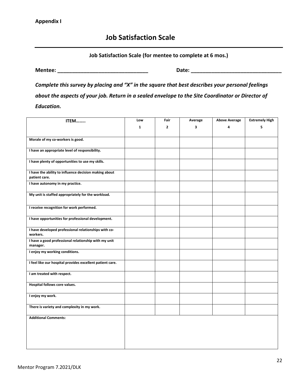# **Job Satisfaction Scale**

#### **Job Satisfaction Scale (for mentee to complete at 6 mos.)**

**Mentee: \_\_\_\_\_\_\_\_\_\_\_\_\_\_\_\_\_\_\_\_\_\_\_\_\_\_\_\_\_\_\_ Date: \_\_\_\_\_\_\_\_\_\_\_\_\_\_\_\_\_\_\_\_\_\_\_\_\_\_\_\_\_\_\_**

*Complete this survey by placing and "X" in the square that best describes your personal feelings about the aspects of your job. Return in a sealed envelope to the Site Coordinator or Director of Education.*

| ITEM                                                                   | Low | Fair           | Average | <b>Above Average</b> | <b>Extremely High</b> |
|------------------------------------------------------------------------|-----|----------------|---------|----------------------|-----------------------|
|                                                                        | 1   | $\overline{2}$ | 3       | 4                    | 5                     |
|                                                                        |     |                |         |                      |                       |
| Morale of my co-workers is good.                                       |     |                |         |                      |                       |
| I have an appropriate level of responsibility.                         |     |                |         |                      |                       |
| I have plenty of opportunities to use my skills.                       |     |                |         |                      |                       |
| I have the ability to influence decision making about<br>patient care. |     |                |         |                      |                       |
| I have autonomy in my practice.                                        |     |                |         |                      |                       |
| My unit is staffed appropriately for the workload.                     |     |                |         |                      |                       |
| I receive recognition for work performed.                              |     |                |         |                      |                       |
| I have opportunities for professional development.                     |     |                |         |                      |                       |
| I have developed professional relationships with co-<br>workers.       |     |                |         |                      |                       |
| I have a good professional relationship with my unit<br>manager.       |     |                |         |                      |                       |
| I enjoy my working conditions.                                         |     |                |         |                      |                       |
| I feel like our hospital provides excellent patient care.              |     |                |         |                      |                       |
| I am treated with respect.                                             |     |                |         |                      |                       |
| Hospital follows core values.                                          |     |                |         |                      |                       |
| I enjoy my work.                                                       |     |                |         |                      |                       |
| There is variety and complexity in my work.                            |     |                |         |                      |                       |
| <b>Additional Comments:</b>                                            |     |                |         |                      |                       |
|                                                                        |     |                |         |                      |                       |
|                                                                        |     |                |         |                      |                       |
|                                                                        |     |                |         |                      |                       |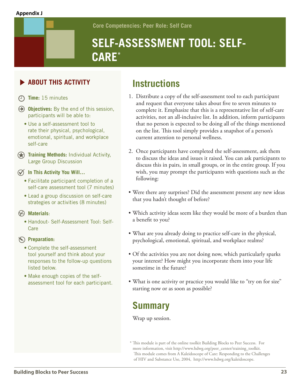#### **Appendix J**

**Core Competencies: Peer Role: Self Care**

# **SELF-ASSESSMENT TOOL: SELF-CARE\***

# **ABOUT THIS ACTIVITY**

- **Time:** 15 minutes
- **Objectives:** By the end of this session, participants will be able to:
	- Use a self-assessment tool to rate their physical, psychological, emotional, spiritual, and workplace self-care
- **Training Methods:** Individual Activity, Large Group Discussion

**In This Activity You Will…**

- Facilitate participant completion of a self-care assessment tool (7 minutes)
- Lead a group discussion on self-care strategies or activities (8 minutes)

#### **Materials**:

• Handout- Self-Assessment Tool: Self-Care

#### **Preparation:**

- Complete the self-assessment tool yourself and think about your responses to the follow-up questions listed below.
- Make enough copies of the selfassessment tool for each participant.

# **Instructions**

- 1. Distribute a copy of the self-assessment tool to each participant and request that everyone takes about five to seven minutes to complete it. Emphasize that this is a representative list of self-care activities, not an all-inclusive list. In addition, inform participants that no person is expected to be doing all of the things mentioned on the list. This tool simply provides a snapshot of a person's current attention to personal wellness.
- 2. Once participants have completed the self-assessment, ask them to discuss the ideas and issues it raised. You can ask participants to discuss this in pairs, in small groups, or in the entire group. If you wish, you may prompt the participants with questions such as the following:
- Were there any surprises? Did the assessment present any new ideas that you hadn't thought of before?
- Which activity ideas seem like they would be more of a burden than a benefit to you?
- What are you already doing to practice self-care in the physical, psychological, emotional, spiritual, and workplace realms?
- Of the activities you are not doing now, which particularly sparks your interest? How might you incorporate them into your life sometime in the future?
- What is one activity or practice you would like to "try on for size" starting now or as soon as possible?

# **Summary**

Wrap up session.

<sup>\*</sup> This module is part of the online toolkit Building Blocks to Peer Success. For more information, visit http://www.hdwg.org/peer\_center/training\_toolkit. This module comes from A Kaleidoscope of Care: Responding to the Challenges of HIV and Substance Use, 2004, http://www.hdwg.org/kaleidoscope.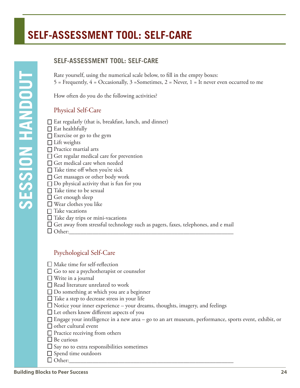# **SELF-ASSESSMENT TOOL: SELF-CARE**

#### **SELF-ASSESSMENT TOOL: SELF-CARE**

Rate yourself, using the numerical scale below, to fill in the empty boxes: 5 = Frequently,  $4 = Occasionally, 3 = Sometimes, 2 = Never, 1 = It never even occurred to me$ 

How often do you do the following activities?

#### Physical Self-Care

- $\Box$  Eat regularly (that is, breakfast, lunch, and dinner)
- $\Box$  Eat healthfully
- Exercise or go to the gym
- $\Box$  Lift weights
- □ Practice martial arts
- $\Box$  Get regular medical care for prevention
- □ Get medical care when needed
- $\Box$  Take time off when you're sick
- $\Box$  Get massages or other body work
- $\Box$  Do physical activity that is fun for you
- $\Box$  Take time to be sexual
- $\Box$  Get enough sleep
- Wear clothes you like
- $\Box$  Take vacations
- $\Box$  Take day trips or mini-vacations
- $\square$  Get away from stressful technology such as pagers, faxes, telephones, and e mail
- Other:\_\_\_\_\_\_\_\_\_\_\_\_\_\_\_\_\_\_\_\_\_\_\_\_\_\_\_\_\_\_\_\_\_\_\_\_\_\_\_\_\_\_\_\_\_\_\_\_\_\_\_\_\_\_\_\_

#### Psychological Self-Care

- Make time for self-reflection
- □ Go to see a psychotherapist or counselor
- □ Write in a journal
- $\square$  Read literature unrelated to work
- □ Do something at which you are a beginner
- $\Box$  Take a step to decrease stress in your life
- Notice your inner experience your dreams, thoughts, imagery, and feelings
- □ Let others know different aspects of you
- Engage your intelligence in a new area go to an art museum, performance, sports event, exhibit, or
- $\Box$  other cultural event
- □ Practice receiving from others
- $\Box$  Be curious
- $\Box$  Say no to extra responsibilities sometimes
- □ Spend time outdoors
- Other:\_\_\_\_\_\_\_\_\_\_\_\_\_\_\_\_\_\_\_\_\_\_\_\_\_\_\_\_\_\_\_\_\_\_\_\_\_\_\_\_\_\_\_\_\_\_\_\_\_\_\_\_\_\_\_\_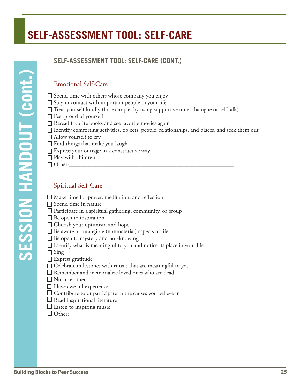# **SELF-ASSESSMENT TOOL: SELF-CARE**

# **SESSION HANDOUT (cont.) SESSION HANDOUT (cont.)**

# **SELF-ASSESSMENT TOOL: SELF-CARE (CONT.)**

# Emotional Self-Care

- $\square$  Spend time with others whose company you enjoy
- $\Box$  Stay in contact with important people in your life
- $\Box$  Treat yourself kindly (for example, by using supportive inner dialogue or self talk)
- $\Box$  Feel proud of yourself
- □ Reread favorite books and see favorite movies again
- $\Box$  Identify comforting activities, objects, people, relationships, and places, and seek them out
- $\Box$  Allow yourself to cry
- $\Box$  Find things that make you laugh
- □ Express your outrage in a constructive way
- $\Box$  Play with children
- Other:\_\_\_\_\_\_\_\_\_\_\_\_\_\_\_\_\_\_\_\_\_\_\_\_\_\_\_\_\_\_\_\_\_\_\_\_\_\_\_\_\_\_\_\_\_\_\_\_\_\_\_\_\_\_\_\_

#### Spiritual Self-Care

- Make time for prayer, meditation, and reflection
- $\Box$  Spend time in nature
- $\Box$  Participate in a spiritual gathering, community, or group
- $\Box$  Be open to inspiration
- □ Cherish your optimism and hope
- $\square$  Be aware of intangible (nonmaterial) aspects of life
- $\square$  Be open to mystery and not-knowing
- $\Box$  Identify what is meaningful to you and notice its place in your life
- $\Box$  Sing
- Express gratitude
- $\square$  Celebrate milestones with rituals that are meaningful to you
- Remember and memorialize loved ones who are dead
- Nurture others
- □ Have awe ful experiences
- $\square$  Contribute to or participate in the causes you believe in
- $\Box$  Read inspirational literature
- $\square$  Listen to inspiring music
- Other:\_\_\_\_\_\_\_\_\_\_\_\_\_\_\_\_\_\_\_\_\_\_\_\_\_\_\_\_\_\_\_\_\_\_\_\_\_\_\_\_\_\_\_\_\_\_\_\_\_\_\_\_\_\_\_\_